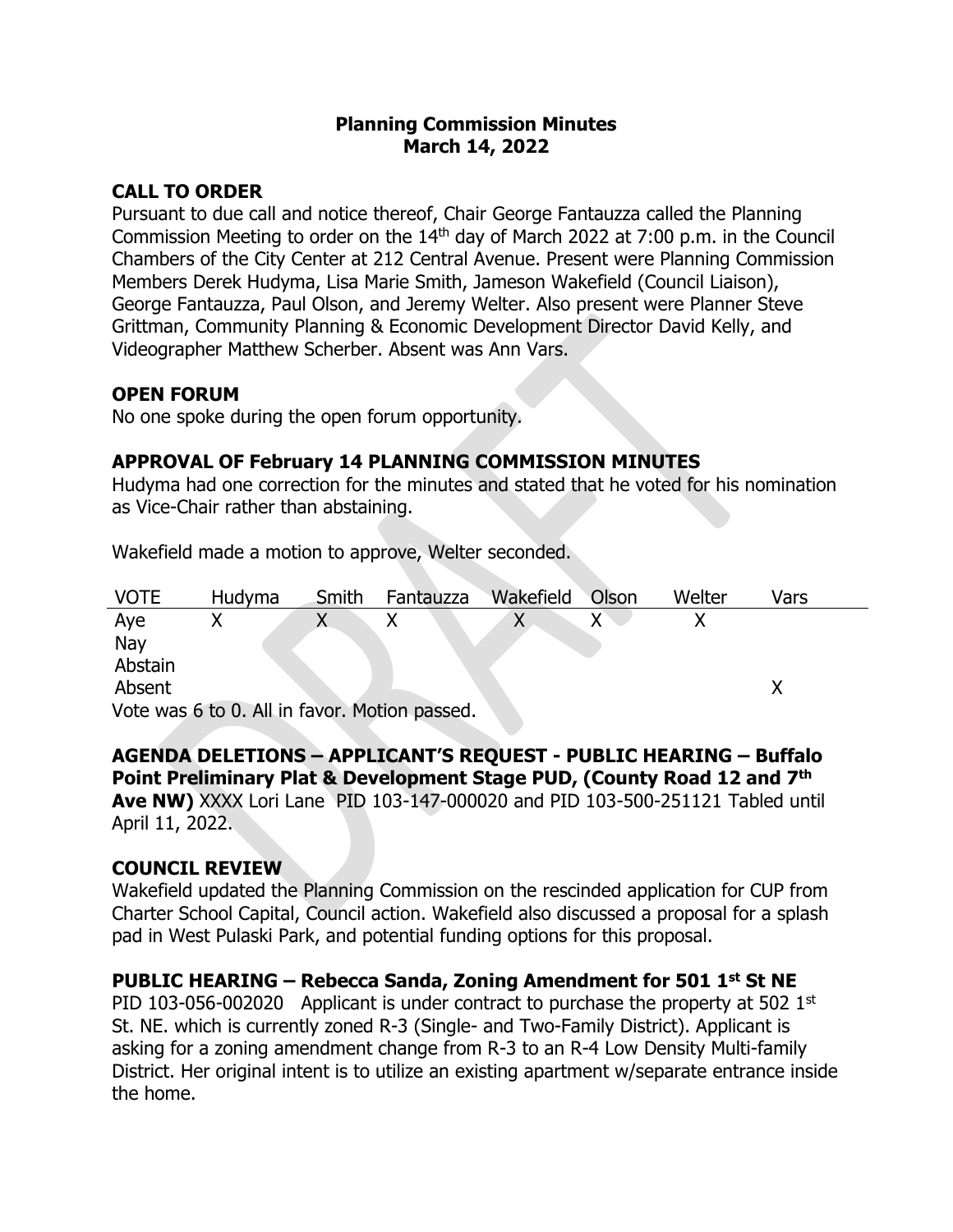### **Planning Commission Minutes March 14, 2022**

# **CALL TO ORDER**

Pursuant to due call and notice thereof, Chair George Fantauzza called the Planning Commission Meeting to order on the  $14<sup>th</sup>$  day of March 2022 at 7:00 p.m. in the Council Chambers of the City Center at 212 Central Avenue. Present were Planning Commission Members Derek Hudyma, Lisa Marie Smith, Jameson Wakefield (Council Liaison), George Fantauzza, Paul Olson, and Jeremy Welter. Also present were Planner Steve Grittman, Community Planning & Economic Development Director David Kelly, and Videographer Matthew Scherber. Absent was Ann Vars.

### **OPEN FORUM**

No one spoke during the open forum opportunity.

# **APPROVAL OF February 14 PLANNING COMMISSION MINUTES**

Hudyma had one correction for the minutes and stated that he voted for his nomination as Vice-Chair rather than abstaining.

Wakefield made a motion to approve, Welter seconded.

| <b>VOTE</b>                                   | Hudyma | Smith | Fantauzza | Wakefield | Olson | Welter | Vars |  |
|-----------------------------------------------|--------|-------|-----------|-----------|-------|--------|------|--|
| Aye                                           |        |       |           | Χ         |       |        |      |  |
| Nay                                           |        |       |           |           |       |        |      |  |
| Abstain                                       |        |       |           |           |       |        |      |  |
| Absent                                        |        |       |           |           |       |        |      |  |
| Vote was 6 to 0. All in favor. Motion passed. |        |       |           |           |       |        |      |  |

#### **AGENDA DELETIONS – APPLICANT'S REQUEST - PUBLIC HEARING – Buffalo Point Preliminary Plat & Development Stage PUD, (County Road 12 and 7th**

**Ave NW)** XXXX Lori Lane PID 103-147-000020 and PID 103-500-251121 Tabled until April 11, 2022.

### **COUNCIL REVIEW**

Wakefield updated the Planning Commission on the rescinded application for CUP from Charter School Capital, Council action. Wakefield also discussed a proposal for a splash pad in West Pulaski Park, and potential funding options for this proposal.

# **PUBLIC HEARING – Rebecca Sanda, Zoning Amendment for 501 1st St NE**

PID 103-056-002020 Applicant is under contract to purchase the property at 502  $1<sup>st</sup>$ St. NE. which is currently zoned R-3 (Single- and Two-Family District). Applicant is asking for a zoning amendment change from R-3 to an R-4 Low Density Multi-family District. Her original intent is to utilize an existing apartment w/separate entrance inside the home.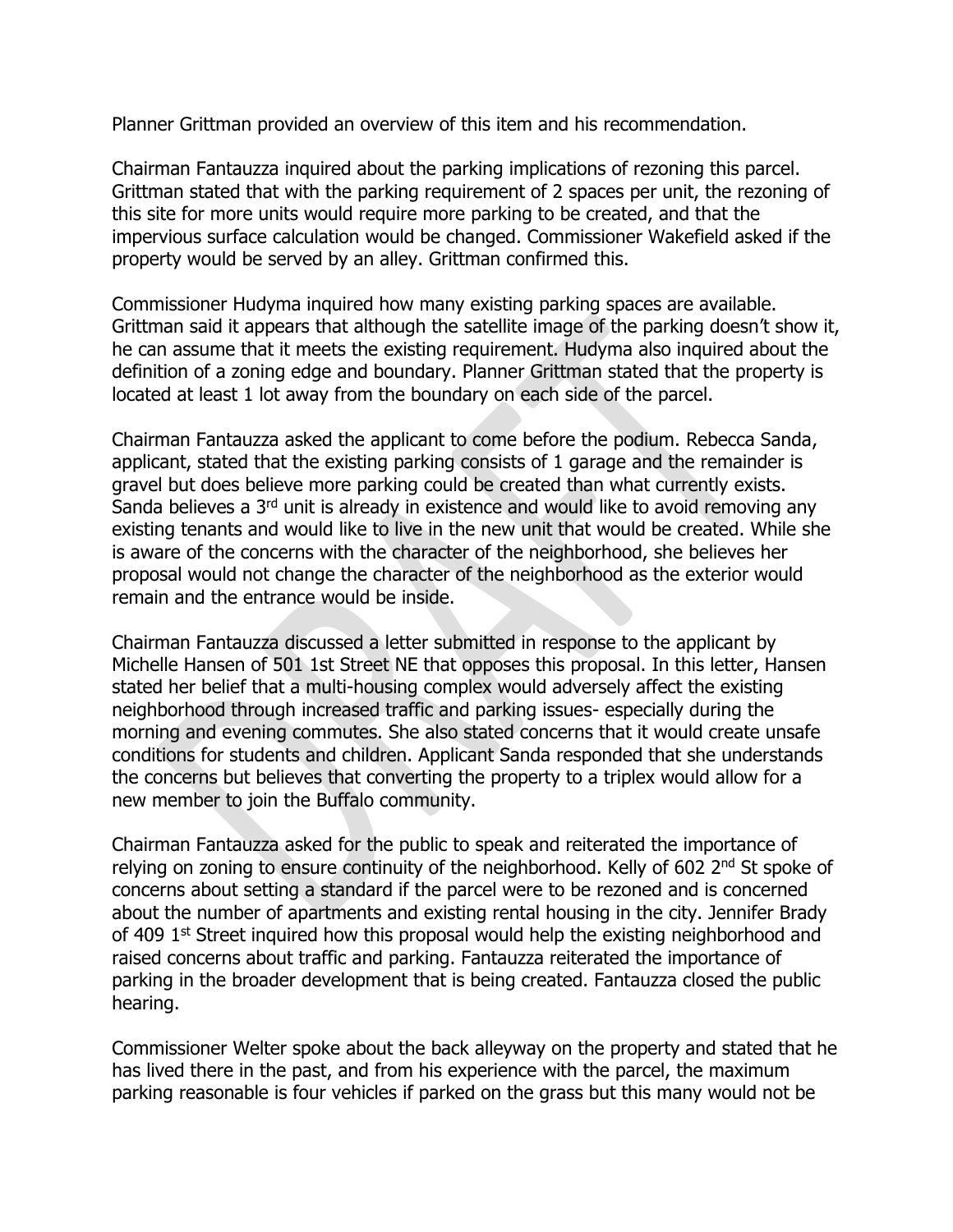Planner Grittman provided an overview of this item and his recommendation.

Chairman Fantauzza inquired about the parking implications of rezoning this parcel. Grittman stated that with the parking requirement of 2 spaces per unit, the rezoning of this site for more units would require more parking to be created, and that the impervious surface calculation would be changed. Commissioner Wakefield asked if the property would be served by an alley. Grittman confirmed this.

Commissioner Hudyma inquired how many existing parking spaces are available. Grittman said it appears that although the satellite image of the parking doesn't show it, he can assume that it meets the existing requirement. Hudyma also inquired about the definition of a zoning edge and boundary. Planner Grittman stated that the property is located at least 1 lot away from the boundary on each side of the parcel.

Chairman Fantauzza asked the applicant to come before the podium. Rebecca Sanda, applicant, stated that the existing parking consists of 1 garage and the remainder is gravel but does believe more parking could be created than what currently exists. Sanda believes a 3<sup>rd</sup> unit is already in existence and would like to avoid removing any existing tenants and would like to live in the new unit that would be created. While she is aware of the concerns with the character of the neighborhood, she believes her proposal would not change the character of the neighborhood as the exterior would remain and the entrance would be inside.

Chairman Fantauzza discussed a letter submitted in response to the applicant by Michelle Hansen of 501 1st Street NE that opposes this proposal. In this letter, Hansen stated her belief that a multi-housing complex would adversely affect the existing neighborhood through increased traffic and parking issues- especially during the morning and evening commutes. She also stated concerns that it would create unsafe conditions for students and children. Applicant Sanda responded that she understands the concerns but believes that converting the property to a triplex would allow for a new member to join the Buffalo community.

Chairman Fantauzza asked for the public to speak and reiterated the importance of relying on zoning to ensure continuity of the neighborhood. Kelly of 602 2<sup>nd</sup> St spoke of concerns about setting a standard if the parcel were to be rezoned and is concerned about the number of apartments and existing rental housing in the city. Jennifer Brady of 409 1<sup>st</sup> Street inquired how this proposal would help the existing neighborhood and raised concerns about traffic and parking. Fantauzza reiterated the importance of parking in the broader development that is being created. Fantauzza closed the public hearing.

Commissioner Welter spoke about the back alleyway on the property and stated that he has lived there in the past, and from his experience with the parcel, the maximum parking reasonable is four vehicles if parked on the grass but this many would not be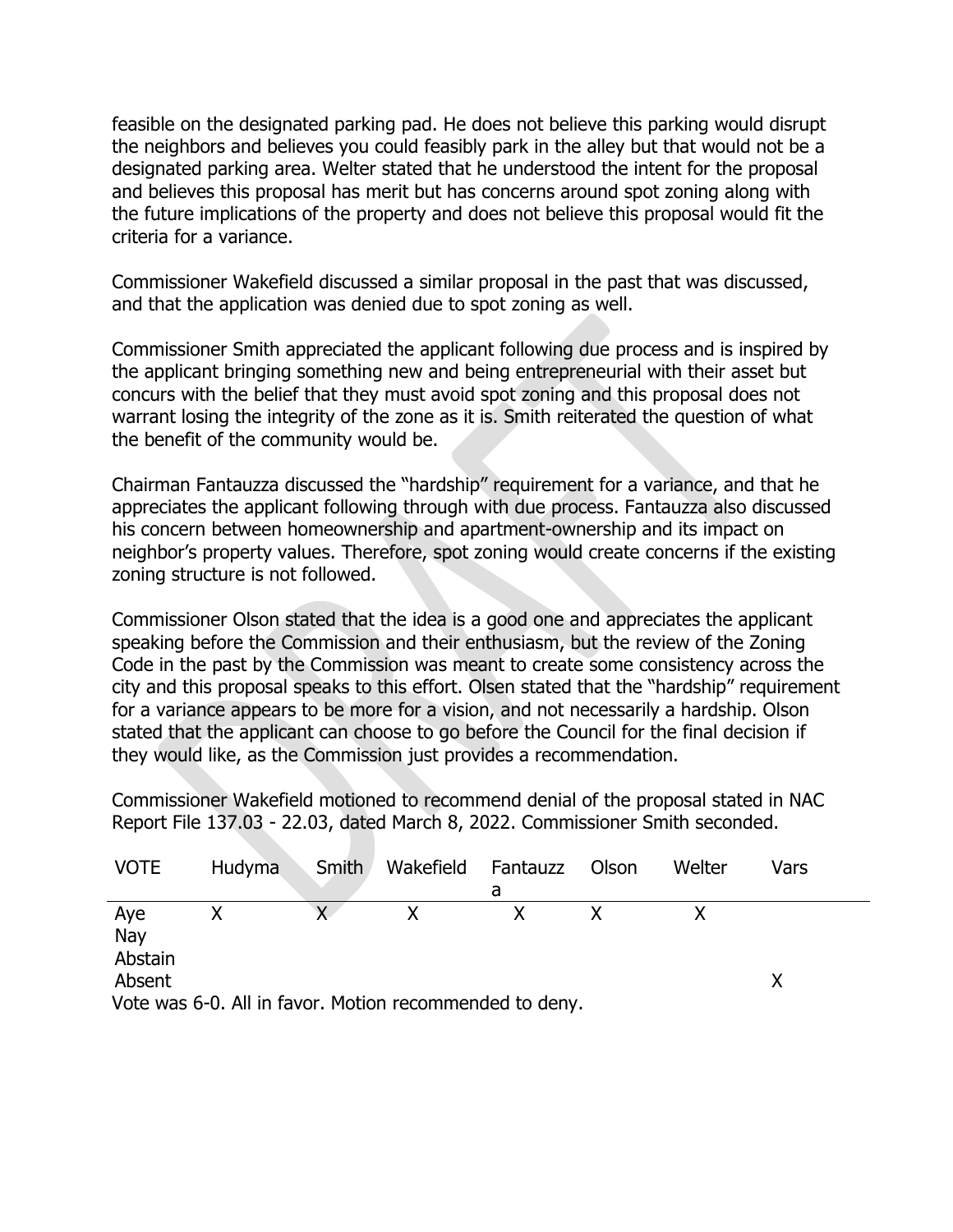feasible on the designated parking pad. He does not believe this parking would disrupt the neighbors and believes you could feasibly park in the alley but that would not be a designated parking area. Welter stated that he understood the intent for the proposal and believes this proposal has merit but has concerns around spot zoning along with the future implications of the property and does not believe this proposal would fit the criteria for a variance.

Commissioner Wakefield discussed a similar proposal in the past that was discussed, and that the application was denied due to spot zoning as well.

Commissioner Smith appreciated the applicant following due process and is inspired by the applicant bringing something new and being entrepreneurial with their asset but concurs with the belief that they must avoid spot zoning and this proposal does not warrant losing the integrity of the zone as it is. Smith reiterated the question of what the benefit of the community would be.

Chairman Fantauzza discussed the "hardship" requirement for a variance, and that he appreciates the applicant following through with due process. Fantauzza also discussed his concern between homeownership and apartment-ownership and its impact on neighbor's property values. Therefore, spot zoning would create concerns if the existing zoning structure is not followed.

Commissioner Olson stated that the idea is a good one and appreciates the applicant speaking before the Commission and their enthusiasm, but the review of the Zoning Code in the past by the Commission was meant to create some consistency across the city and this proposal speaks to this effort. Olsen stated that the "hardship" requirement for a variance appears to be more for a vision, and not necessarily a hardship. Olson stated that the applicant can choose to go before the Council for the final decision if they would like, as the Commission just provides a recommendation.

Commissioner Wakefield motioned to recommend denial of the proposal stated in NAC Report File 137.03 - 22.03, dated March 8, 2022. Commissioner Smith seconded.

| <b>VOTE</b>                                             | <b>Hudyma</b> | <b>Smith</b> | Wakefield Fantauzz | a | Olson | Welter | Vars |  |
|---------------------------------------------------------|---------------|--------------|--------------------|---|-------|--------|------|--|
| Aye<br>Nay<br>Abstain                                   |               |              |                    |   |       |        |      |  |
| Absent                                                  |               |              |                    |   |       |        |      |  |
| Vote was 6-0. All in favor. Motion recommended to deny. |               |              |                    |   |       |        |      |  |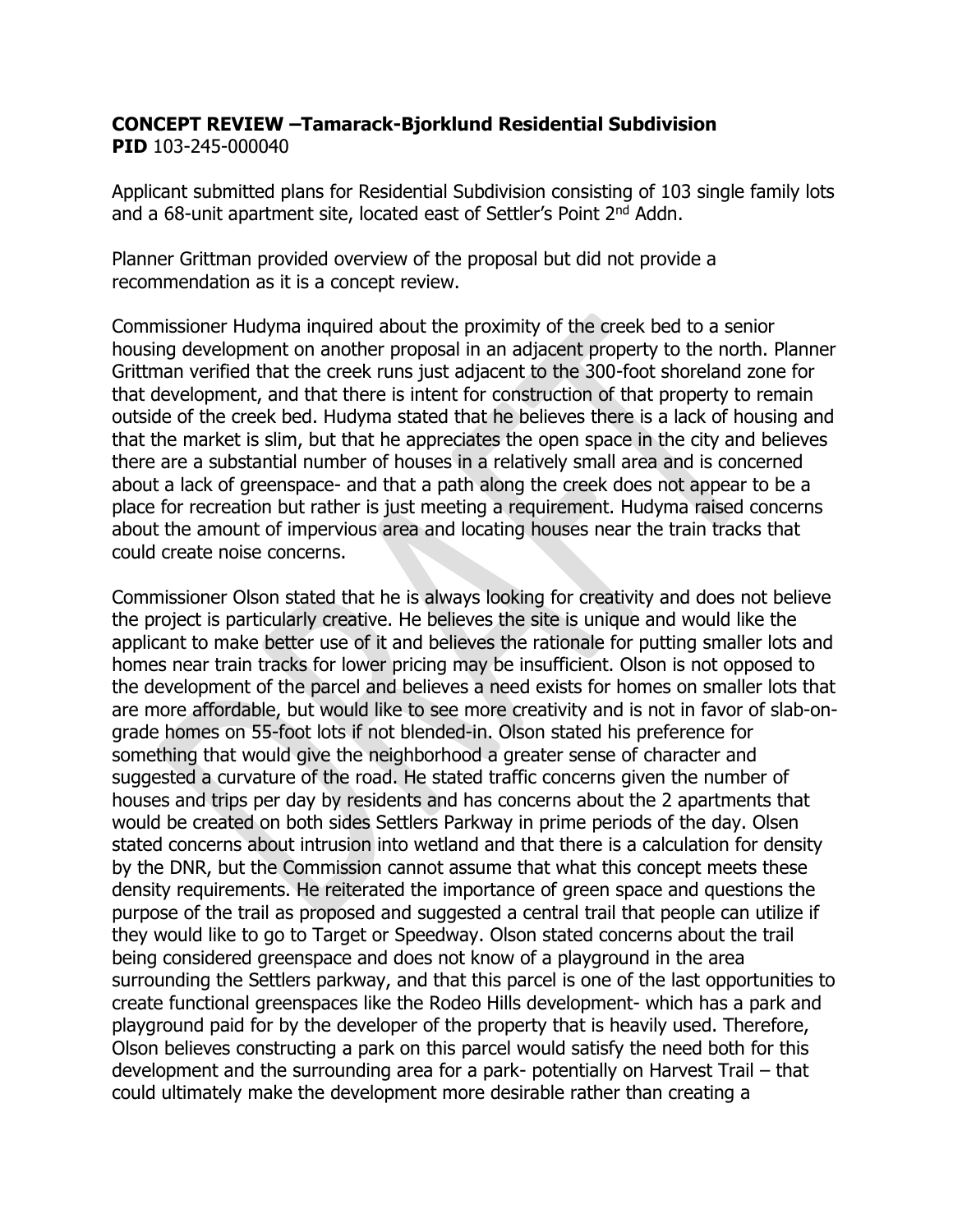### **CONCEPT REVIEW –Tamarack-Bjorklund Residential Subdivision PID** 103-245-000040

Applicant submitted plans for Residential Subdivision consisting of 103 single family lots and a 68-unit apartment site, located east of Settler's Point 2<sup>nd</sup> Addn.

Planner Grittman provided overview of the proposal but did not provide a recommendation as it is a concept review.

Commissioner Hudyma inquired about the proximity of the creek bed to a senior housing development on another proposal in an adjacent property to the north. Planner Grittman verified that the creek runs just adjacent to the 300-foot shoreland zone for that development, and that there is intent for construction of that property to remain outside of the creek bed. Hudyma stated that he believes there is a lack of housing and that the market is slim, but that he appreciates the open space in the city and believes there are a substantial number of houses in a relatively small area and is concerned about a lack of greenspace- and that a path along the creek does not appear to be a place for recreation but rather is just meeting a requirement. Hudyma raised concerns about the amount of impervious area and locating houses near the train tracks that could create noise concerns.

Commissioner Olson stated that he is always looking for creativity and does not believe the project is particularly creative. He believes the site is unique and would like the applicant to make better use of it and believes the rationale for putting smaller lots and homes near train tracks for lower pricing may be insufficient. Olson is not opposed to the development of the parcel and believes a need exists for homes on smaller lots that are more affordable, but would like to see more creativity and is not in favor of slab-ongrade homes on 55-foot lots if not blended-in. Olson stated his preference for something that would give the neighborhood a greater sense of character and suggested a curvature of the road. He stated traffic concerns given the number of houses and trips per day by residents and has concerns about the 2 apartments that would be created on both sides Settlers Parkway in prime periods of the day. Olsen stated concerns about intrusion into wetland and that there is a calculation for density by the DNR, but the Commission cannot assume that what this concept meets these density requirements. He reiterated the importance of green space and questions the purpose of the trail as proposed and suggested a central trail that people can utilize if they would like to go to Target or Speedway. Olson stated concerns about the trail being considered greenspace and does not know of a playground in the area surrounding the Settlers parkway, and that this parcel is one of the last opportunities to create functional greenspaces like the Rodeo Hills development- which has a park and playground paid for by the developer of the property that is heavily used. Therefore, Olson believes constructing a park on this parcel would satisfy the need both for this development and the surrounding area for a park- potentially on Harvest Trail – that could ultimately make the development more desirable rather than creating a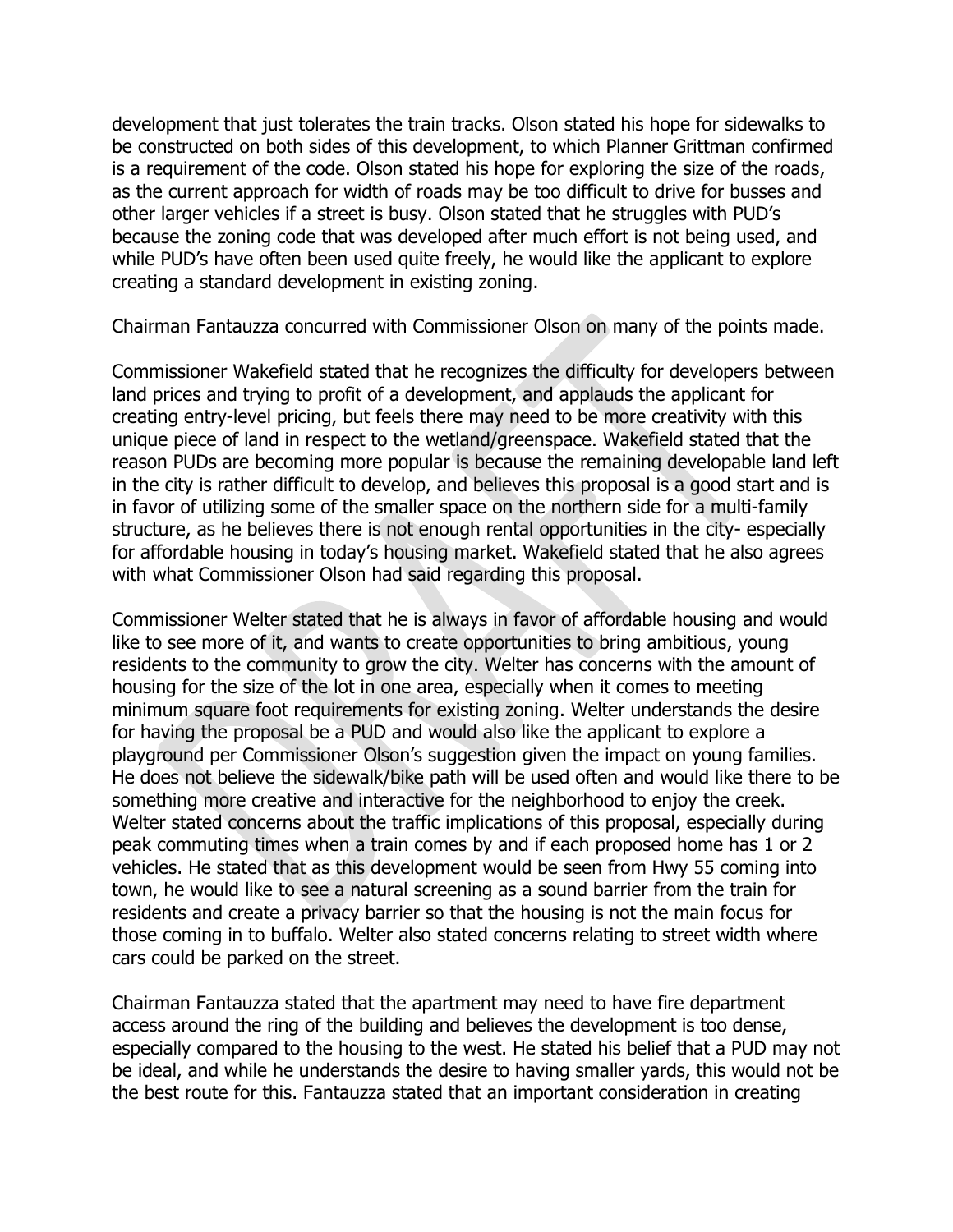development that just tolerates the train tracks. Olson stated his hope for sidewalks to be constructed on both sides of this development, to which Planner Grittman confirmed is a requirement of the code. Olson stated his hope for exploring the size of the roads, as the current approach for width of roads may be too difficult to drive for busses and other larger vehicles if a street is busy. Olson stated that he struggles with PUD's because the zoning code that was developed after much effort is not being used, and while PUD's have often been used quite freely, he would like the applicant to explore creating a standard development in existing zoning.

Chairman Fantauzza concurred with Commissioner Olson on many of the points made.

Commissioner Wakefield stated that he recognizes the difficulty for developers between land prices and trying to profit of a development, and applauds the applicant for creating entry-level pricing, but feels there may need to be more creativity with this unique piece of land in respect to the wetland/greenspace. Wakefield stated that the reason PUDs are becoming more popular is because the remaining developable land left in the city is rather difficult to develop, and believes this proposal is a good start and is in favor of utilizing some of the smaller space on the northern side for a multi-family structure, as he believes there is not enough rental opportunities in the city- especially for affordable housing in today's housing market. Wakefield stated that he also agrees with what Commissioner Olson had said regarding this proposal.

Commissioner Welter stated that he is always in favor of affordable housing and would like to see more of it, and wants to create opportunities to bring ambitious, young residents to the community to grow the city. Welter has concerns with the amount of housing for the size of the lot in one area, especially when it comes to meeting minimum square foot requirements for existing zoning. Welter understands the desire for having the proposal be a PUD and would also like the applicant to explore a playground per Commissioner Olson's suggestion given the impact on young families. He does not believe the sidewalk/bike path will be used often and would like there to be something more creative and interactive for the neighborhood to enjoy the creek. Welter stated concerns about the traffic implications of this proposal, especially during peak commuting times when a train comes by and if each proposed home has 1 or 2 vehicles. He stated that as this development would be seen from Hwy 55 coming into town, he would like to see a natural screening as a sound barrier from the train for residents and create a privacy barrier so that the housing is not the main focus for those coming in to buffalo. Welter also stated concerns relating to street width where cars could be parked on the street.

Chairman Fantauzza stated that the apartment may need to have fire department access around the ring of the building and believes the development is too dense, especially compared to the housing to the west. He stated his belief that a PUD may not be ideal, and while he understands the desire to having smaller yards, this would not be the best route for this. Fantauzza stated that an important consideration in creating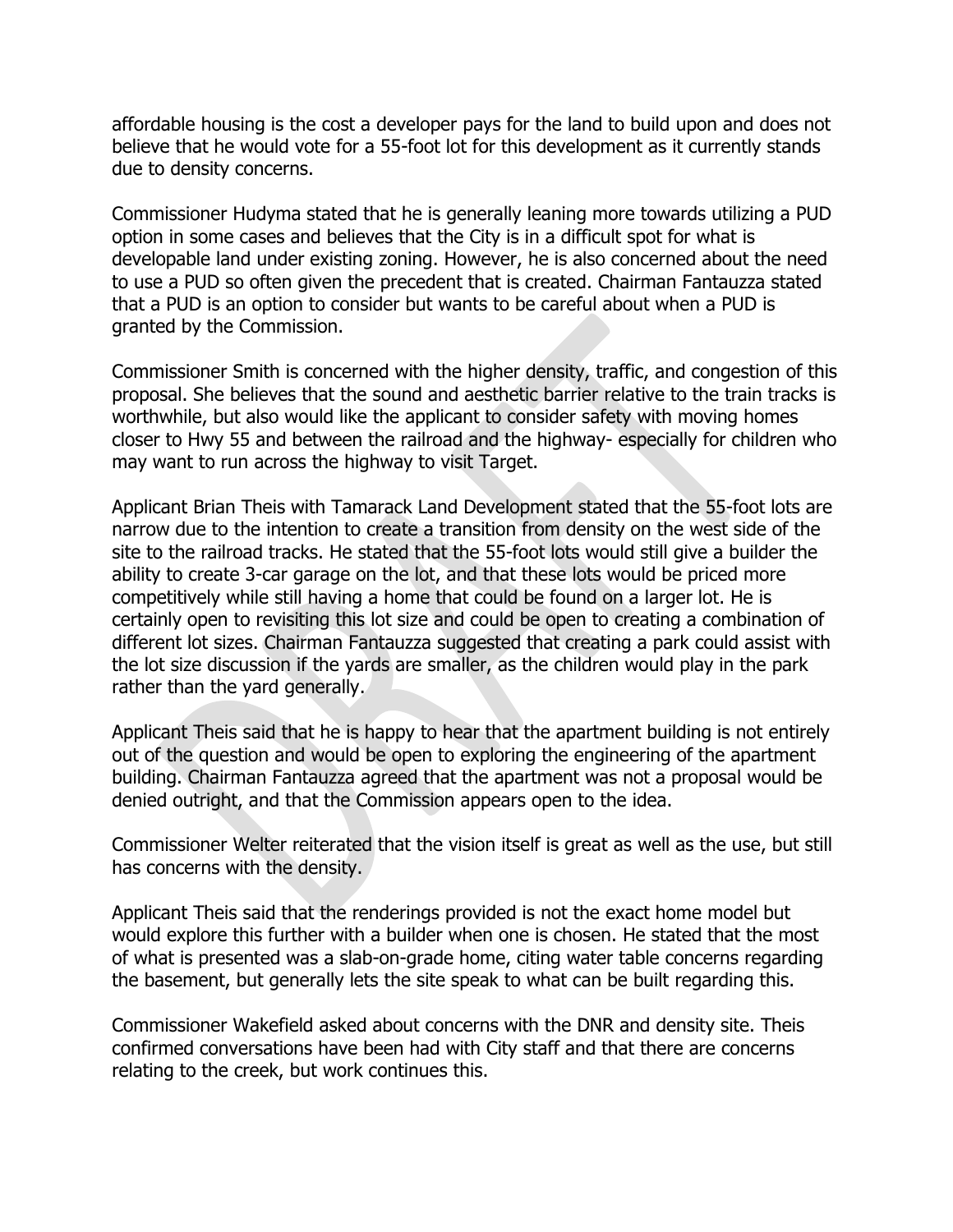affordable housing is the cost a developer pays for the land to build upon and does not believe that he would vote for a 55-foot lot for this development as it currently stands due to density concerns.

Commissioner Hudyma stated that he is generally leaning more towards utilizing a PUD option in some cases and believes that the City is in a difficult spot for what is developable land under existing zoning. However, he is also concerned about the need to use a PUD so often given the precedent that is created. Chairman Fantauzza stated that a PUD is an option to consider but wants to be careful about when a PUD is granted by the Commission.

Commissioner Smith is concerned with the higher density, traffic, and congestion of this proposal. She believes that the sound and aesthetic barrier relative to the train tracks is worthwhile, but also would like the applicant to consider safety with moving homes closer to Hwy 55 and between the railroad and the highway- especially for children who may want to run across the highway to visit Target.

Applicant Brian Theis with Tamarack Land Development stated that the 55-foot lots are narrow due to the intention to create a transition from density on the west side of the site to the railroad tracks. He stated that the 55-foot lots would still give a builder the ability to create 3-car garage on the lot, and that these lots would be priced more competitively while still having a home that could be found on a larger lot. He is certainly open to revisiting this lot size and could be open to creating a combination of different lot sizes. Chairman Fantauzza suggested that creating a park could assist with the lot size discussion if the yards are smaller, as the children would play in the park rather than the yard generally.

Applicant Theis said that he is happy to hear that the apartment building is not entirely out of the question and would be open to exploring the engineering of the apartment building. Chairman Fantauzza agreed that the apartment was not a proposal would be denied outright, and that the Commission appears open to the idea.

Commissioner Welter reiterated that the vision itself is great as well as the use, but still has concerns with the density.

Applicant Theis said that the renderings provided is not the exact home model but would explore this further with a builder when one is chosen. He stated that the most of what is presented was a slab-on-grade home, citing water table concerns regarding the basement, but generally lets the site speak to what can be built regarding this.

Commissioner Wakefield asked about concerns with the DNR and density site. Theis confirmed conversations have been had with City staff and that there are concerns relating to the creek, but work continues this.